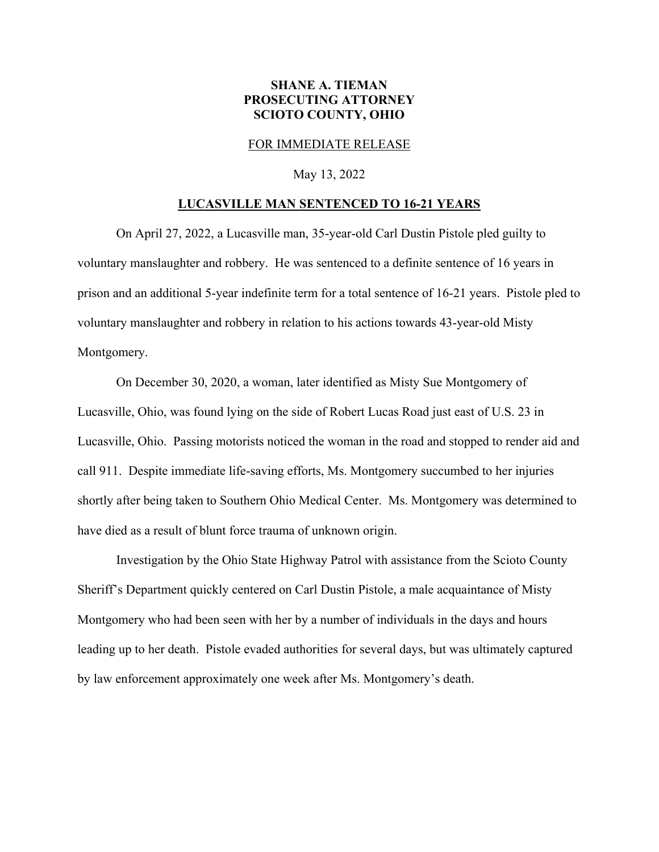## **SHANE A. TIEMAN PROSECUTING ATTORNEY SCIOTO COUNTY, OHIO**

## FOR IMMEDIATE RELEASE

May 13, 2022

## **LUCASVILLE MAN SENTENCED TO 16-21 YEARS**

 On April 27, 2022, a Lucasville man, 35-year-old Carl Dustin Pistole pled guilty to voluntary manslaughter and robbery. He was sentenced to a definite sentence of 16 years in prison and an additional 5-year indefinite term for a total sentence of 16-21 years. Pistole pled to voluntary manslaughter and robbery in relation to his actions towards 43-year-old Misty Montgomery.

 On December 30, 2020, a woman, later identified as Misty Sue Montgomery of Lucasville, Ohio, was found lying on the side of Robert Lucas Road just east of U.S. 23 in Lucasville, Ohio. Passing motorists noticed the woman in the road and stopped to render aid and call 911. Despite immediate life-saving efforts, Ms. Montgomery succumbed to her injuries shortly after being taken to Southern Ohio Medical Center. Ms. Montgomery was determined to have died as a result of blunt force trauma of unknown origin.

 Investigation by the Ohio State Highway Patrol with assistance from the Scioto County Sheriff's Department quickly centered on Carl Dustin Pistole, a male acquaintance of Misty Montgomery who had been seen with her by a number of individuals in the days and hours leading up to her death. Pistole evaded authorities for several days, but was ultimately captured by law enforcement approximately one week after Ms. Montgomery's death.